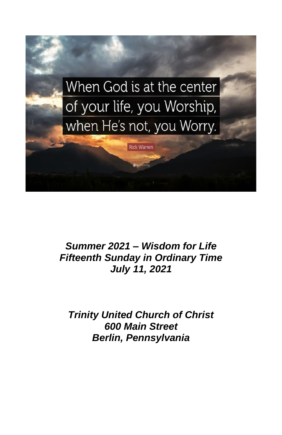

*Summer 2021 – Wisdom for Life Fifteenth Sunday in Ordinary Time July 11, 2021*

*Trinity United Church of Christ 600 Main Street Berlin, Pennsylvania*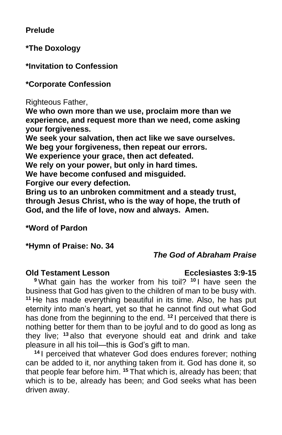**Prelude**

**\*The Doxology**

**\*Invitation to Confession**

**\*Corporate Confession**

Righteous Father,

**We who own more than we use, proclaim more than we experience, and request more than we need, come asking your forgiveness.**

**We seek your salvation, then act like we save ourselves.**

**We beg your forgiveness, then repeat our errors.**

**We experience your grace, then act defeated.**

**We rely on your power, but only in hard times.**

**We have become confused and misguided.**

**Forgive our every defection.**

**Bring us to an unbroken commitment and a steady trust, through Jesus Christ, who is the way of hope, the truth of God, and the life of love, now and always. Amen.**

## **\*Word of Pardon**

**\*Hymn of Praise: No. 34**

## *The God of Abraham Praise*

### **Old Testament Lesson Ecclesiastes 3:9-15**

**<sup>9</sup>** What gain has the worker from his toil? **<sup>10</sup>** I have seen the business that God has given to the children of man to be busy with. **<sup>11</sup>** He has made everything beautiful in its time. Also, he has put eternity into man's heart, yet so that he cannot find out what God has done from the beginning to the end. **<sup>12</sup>** I perceived that there is nothing better for them than to be joyful and to do good as long as they live; **<sup>13</sup>** also that everyone should eat and drink and take pleasure in all his toil—this is God's gift to man.

**<sup>14</sup>** I perceived that whatever God does endures forever; nothing can be added to it, nor anything taken from it. God has done it, so that people fear before him. **<sup>15</sup>** That which is, already has been; that which is to be, already has been; and God seeks what has been driven away.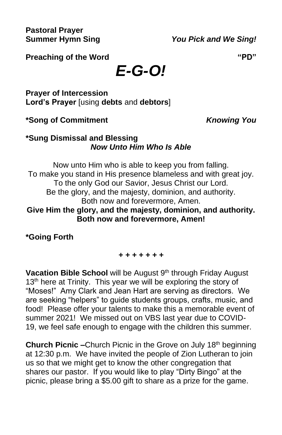**Pastoral Prayer**

**Summer Hymn Sing** *You Pick and We Sing!*

**Preaching of the Word "PD"**

*E-G-O!*

**Prayer of Intercession Lord's Prayer** [using **debts** and **debtors**]

**\*Song of Commitment** *Knowing You*

## **\*Sung Dismissal and Blessing** *Now Unto Him Who Is Able*

Now unto Him who is able to keep you from falling. To make you stand in His presence blameless and with great joy. To the only God our Savior, Jesus Christ our Lord. Be the glory, and the majesty, dominion, and authority. Both now and forevermore, Amen. **Give Him the glory, and the majesty, dominion, and authority. Both now and forevermore, Amen!**

**\*Going Forth**

### *+ + + + + + +*

Vacation Bible School will be August 9<sup>th</sup> through Friday August 13<sup>th</sup> here at Trinity. This year we will be exploring the story of "Moses!" Amy Clark and Jean Hart are serving as directors. We are seeking "helpers" to guide students groups, crafts, music, and food! Please offer your talents to make this a memorable event of summer 2021! We missed out on VBS last year due to COVID-19, we feel safe enough to engage with the children this summer.

**Church Picnic –**Church Picnic in the Grove on July 18<sup>th</sup> beginning at 12:30 p.m. We have invited the people of Zion Lutheran to join us so that we might get to know the other congregation that shares our pastor. If you would like to play "Dirty Bingo" at the picnic, please bring a \$5.00 gift to share as a prize for the game.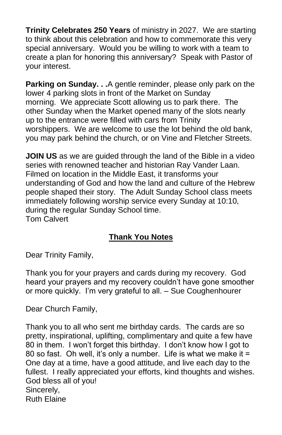**Trinity Celebrates 250 Years** of ministry in 2027. We are starting to think about this celebration and how to commemorate this very special anniversary. Would you be willing to work with a team to create a plan for honoring this anniversary? Speak with Pastor of your interest.

**Parking on Sunday. . .**A gentle reminder, please only park on the lower 4 parking slots in front of the Market on Sunday morning. We appreciate Scott allowing us to park there. The other Sunday when the Market opened many of the slots nearly up to the entrance were filled with cars from Trinity worshippers. We are welcome to use the lot behind the old bank, you may park behind the church, or on Vine and Fletcher Streets.

**JOIN US** as we are guided through the land of the Bible in a video series with renowned teacher and historian Ray Vander Laan. Filmed on location in the Middle East, it transforms your understanding of God and how the land and culture of the Hebrew people shaped their story. The Adult Sunday School class meets immediately following worship service every Sunday at 10:10, during the regular Sunday School time. Tom Calvert

# **Thank You Notes**

Dear Trinity Family,

Thank you for your prayers and cards during my recovery. God heard your prayers and my recovery couldn't have gone smoother or more quickly. I'm very grateful to all. – Sue Coughenhourer

Dear Church Family,

Thank you to all who sent me birthday cards. The cards are so pretty, inspirational, uplifting, complimentary and quite a few have 80 in them. I won't forget this birthday. I don't know how I got to 80 so fast. Oh well, it's only a number. Life is what we make it = One day at a time, have a good attitude, and live each day to the fullest. I really appreciated your efforts, kind thoughts and wishes. God bless all of you! Sincerely, Ruth Elaine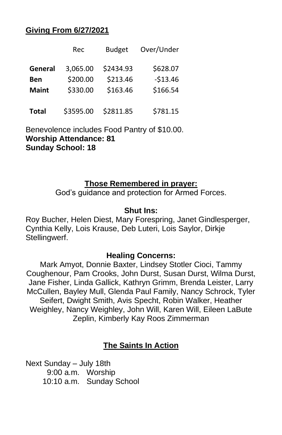## **Giving From 6/27/2021**

|              | Rec       | <b>Budget</b> | Over/Under |
|--------------|-----------|---------------|------------|
| General      | 3,065.00  | \$2434.93     | \$628.07   |
| Ben          | \$200.00  | \$213.46      | $-513.46$  |
| <b>Maint</b> | \$330.00  | \$163.46      | \$166.54   |
| <b>Total</b> | \$3595.00 | \$2811.85     | \$781.15   |

Benevolence includes Food Pantry of \$10.00. **Worship Attendance: 81 Sunday School: 18**

## **Those Remembered in prayer:**

God's guidance and protection for Armed Forces.

## **Shut Ins:**

Roy Bucher, Helen Diest, Mary Forespring, Janet Gindlesperger, Cynthia Kelly, Lois Krause, Deb Luteri, Lois Saylor, Dirkje Stellingwerf.

### **Healing Concerns:**

Mark Amyot, Donnie Baxter, Lindsey Stotler Cioci, Tammy Coughenour, Pam Crooks, John Durst, Susan Durst, Wilma Durst, Jane Fisher, Linda Gallick, Kathryn Grimm, Brenda Leister, Larry McCullen, Bayley Mull, Glenda Paul Family, Nancy Schrock, Tyler Seifert, Dwight Smith, Avis Specht, Robin Walker, Heather Weighley, Nancy Weighley, John Will, Karen Will, Eileen LaBute Zeplin, Kimberly Kay Roos Zimmerman

## **The Saints In Action**

Next Sunday – July 18th 9:00 a.m. Worship 10:10 a.m. Sunday School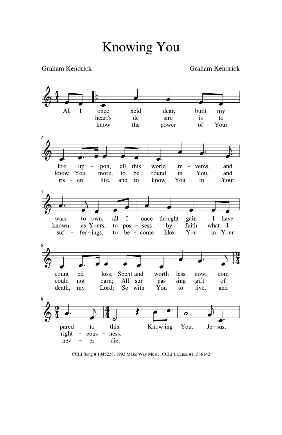Graham Kendrick



CCLI Song #1045238, 1993 Make Way Music, CCLI License #11336142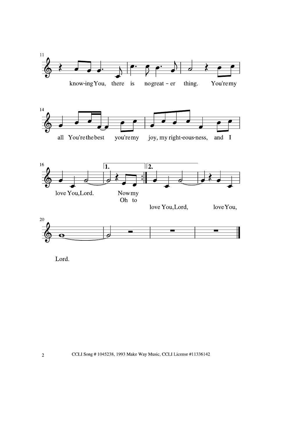

Lord.